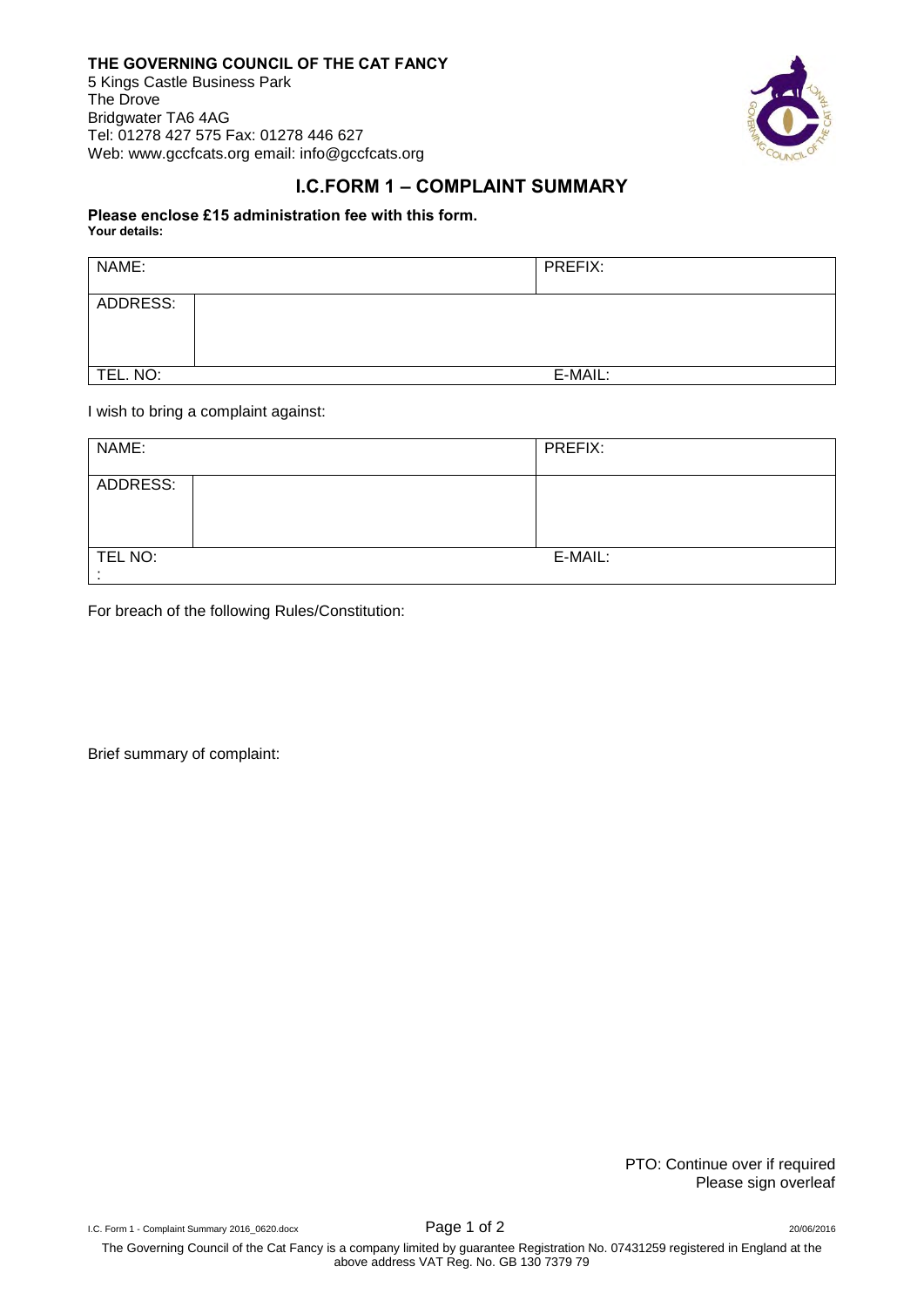## **THE GOVERNING COUNCIL OF THE CAT FANCY**

5 Kings Castle Business Park The Drove Bridgwater TA6 4AG Tel: 01278 427 575 Fax: 01278 446 627 Web: www.gccfcats.org email: info@gccfcats.org



## **I.C.FORM 1 – COMPLAINT SUMMARY**

## **Please enclose £15 administration fee with this form. Your details:**

| NAME:    | PREFIX: |
|----------|---------|
| ADDRESS: |         |
| TEL. NO: | E-MAIL: |

I wish to bring a complaint against:

| NAME:    | PREFIX: |
|----------|---------|
| ADDRESS: |         |
| TEL NO:  | E-MAIL: |
|          |         |

For breach of the following Rules/Constitution:

Brief summary of complaint:

PTO: Continue over if required Please sign overleaf